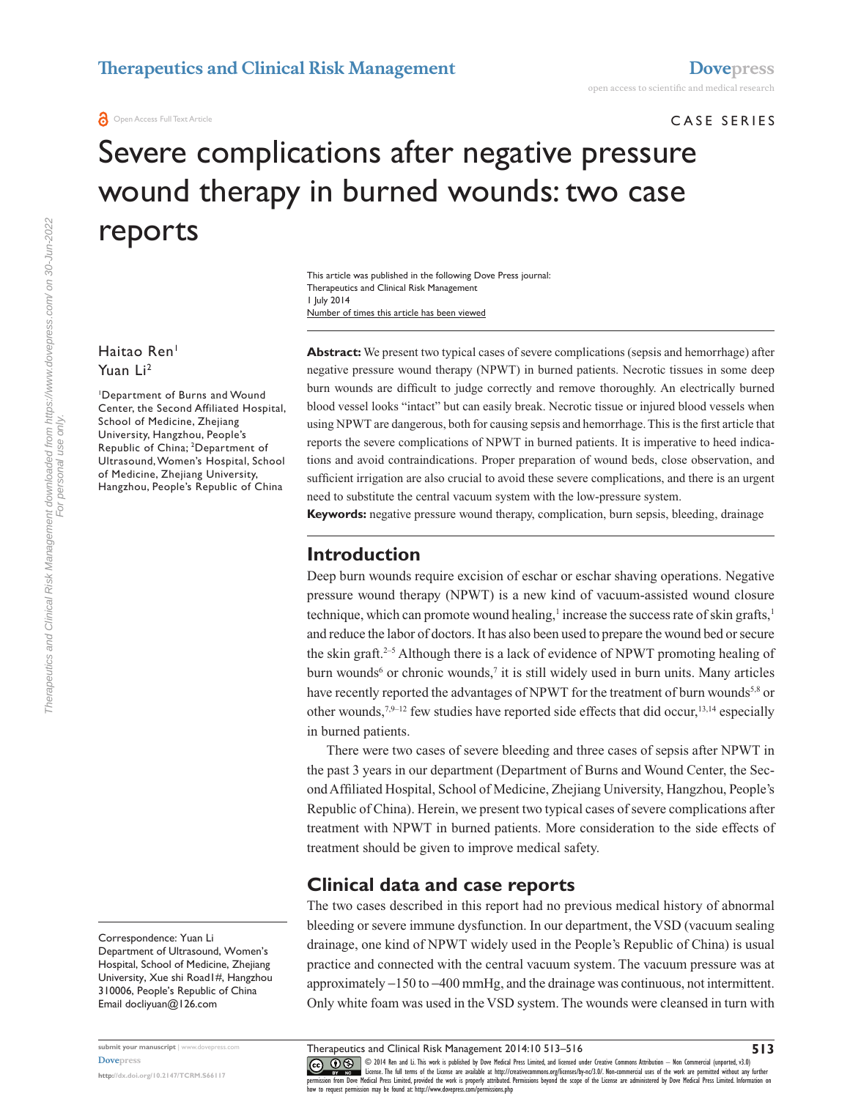**a** Open Access Full Text Article

#### CASE SERIES

# Severe complications after negative pressure wound therapy in burned wounds: two case reports

Number of times this article has been viewed This article was published in the following Dove Press journal: Therapeutics and Clinical Risk Management 1 July 2014

Haitao Ren<sup>1</sup> Yuan Li2

1 Department of Burns and Wound Center, the Second Affiliated Hospital, School of Medicine, Zhejiang University, Hangzhou, People's Republic of China; <sup>2</sup> Department of Ultrasound, Women's Hospital, School of Medicine, Zhejiang University, Hangzhou, People's Republic of China

Correspondence: Yuan Li Department of Ultrasound, Women's Hospital, School of Medicine, Zhejiang University, Xue shi Road1#, Hangzhou 310006, People's Republic of China Email [docliyuan@126.com](mailto:docliyuan@126.com)

**submit your manuscript** | <www.dovepress.com> **[Dovepress](www.dovepress.com)**

**<http://dx.doi.org/10.2147/TCRM.S66117>**

**Abstract:** We present two typical cases of severe complications (sepsis and hemorrhage) after negative pressure wound therapy (NPWT) in burned patients. Necrotic tissues in some deep burn wounds are difficult to judge correctly and remove thoroughly. An electrically burned blood vessel looks "intact" but can easily break. Necrotic tissue or injured blood vessels when using NPWT are dangerous, both for causing sepsis and hemorrhage. This is the first article that reports the severe complications of NPWT in burned patients. It is imperative to heed indications and avoid contraindications. Proper preparation of wound beds, close observation, and sufficient irrigation are also crucial to avoid these severe complications, and there is an urgent need to substitute the central vacuum system with the low-pressure system.

**Keywords:** negative pressure wound therapy, complication, burn sepsis, bleeding, drainage

#### **Introduction**

Deep burn wounds require excision of eschar or eschar shaving operations. Negative pressure wound therapy (NPWT) is a new kind of vacuum-assisted wound closure technique, which can promote wound healing,<sup>1</sup> increase the success rate of skin grafts,<sup>1</sup> and reduce the labor of doctors. It has also been used to prepare the wound bed or secure the skin graft.<sup> $2-5$ </sup> Although there is a lack of evidence of NPWT promoting healing of burn wounds<sup>6</sup> or chronic wounds,<sup>7</sup> it is still widely used in burn units. Many articles have recently reported the advantages of NPWT for the treatment of burn wounds<sup>5,8</sup> or other wounds,<sup>7,9–12</sup> few studies have reported side effects that did occur,<sup>13,14</sup> especially in burned patients.

There were two cases of severe bleeding and three cases of sepsis after NPWT in the past 3 years in our department (Department of Burns and Wound Center, the Second Affiliated Hospital, School of Medicine, Zhejiang University, Hangzhou, People's Republic of China). Herein, we present two typical cases of severe complications after treatment with NPWT in burned patients. More consideration to the side effects of treatment should be given to improve medical safety.

## **Clinical data and case reports**

The two cases described in this report had no previous medical history of abnormal bleeding or severe immune dysfunction. In our department, the VSD (vacuum sealing drainage, one kind of NPWT widely used in the People's Republic of China) is usual practice and connected with the central vacuum system. The vacuum pressure was at approximately -150 to -400 mmHg, and the drainage was continuous, not intermittent. Only white foam was used in the VSD system. The wounds were cleansed in turn with

CO ODI4 Ren and Li. This work is published by Dove Medical Press Limited, and licensed under Creative Commons Attribution - Non Commercial (unported, v3.0)<br> [permission from Dove M](http://www.dovepress.com/permissions.php)edical Press Limited, provided the work is

how to request permission may be found at:<http://www.dovepress.com/permissions.php>

**513**

Therapeutics and Clinical Risk Management 2014:10 513–516

Therapeutics and Clinical Risk Management downloaded from https://www.dovepress.com/ on 30-Jun-2022<br>For personal use only. Therapeutics and Clinical Risk Management downloaded from https://www.dovepress.com/ on 30-Jun-2022 For personal use only.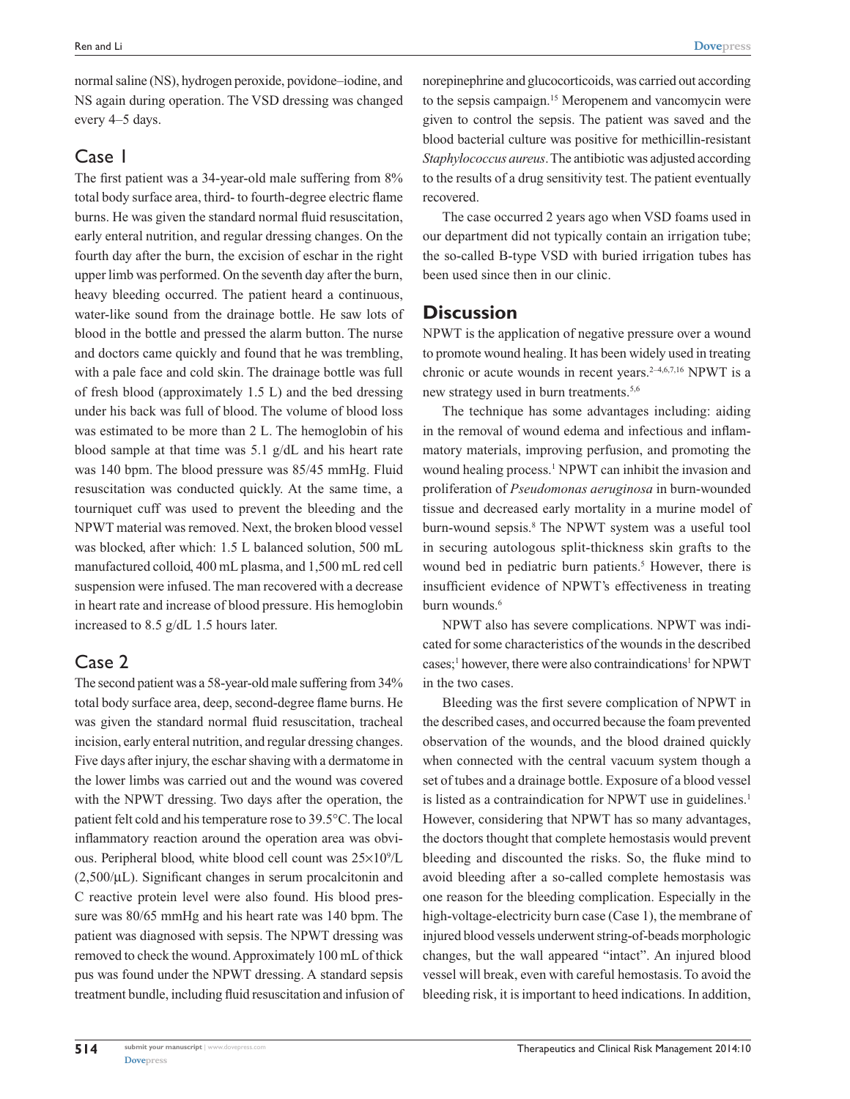normal saline (NS), hydrogen peroxide, povidone–iodine, and NS again during operation. The VSD dressing was changed every 4–5 days.

## Case 1

The first patient was a 34-year-old male suffering from 8% total body surface area, third- to fourth-degree electric flame burns. He was given the standard normal fluid resuscitation, early enteral nutrition, and regular dressing changes. On the fourth day after the burn, the excision of eschar in the right upper limb was performed. On the seventh day after the burn, heavy bleeding occurred. The patient heard a continuous, water-like sound from the drainage bottle. He saw lots of blood in the bottle and pressed the alarm button. The nurse and doctors came quickly and found that he was trembling, with a pale face and cold skin. The drainage bottle was full of fresh blood (approximately 1.5 L) and the bed dressing under his back was full of blood. The volume of blood loss was estimated to be more than 2 L. The hemoglobin of his blood sample at that time was 5.1 g/dL and his heart rate was 140 bpm. The blood pressure was 85/45 mmHg. Fluid resuscitation was conducted quickly. At the same time, a tourniquet cuff was used to prevent the bleeding and the NPWT material was removed. Next, the broken blood vessel was blocked, after which: 1.5 L balanced solution, 500 mL manufactured colloid, 400 mL plasma, and 1,500 mL red cell suspension were infused. The man recovered with a decrease in heart rate and increase of blood pressure. His hemoglobin increased to 8.5 g/dL 1.5 hours later.

# Case 2

The second patient was a 58-year-old male suffering from 34% total body surface area, deep, second-degree flame burns. He was given the standard normal fluid resuscitation, tracheal incision, early enteral nutrition, and regular dressing changes. Five days after injury, the eschar shaving with a dermatome in the lower limbs was carried out and the wound was covered with the NPWT dressing. Two days after the operation, the patient felt cold and his temperature rose to 39.5°C. The local inflammatory reaction around the operation area was obvious. Peripheral blood, white blood cell count was  $25\times10^{9}/L$ (2,500/µL). Significant changes in serum procalcitonin and C reactive protein level were also found. His blood pressure was 80/65 mmHg and his heart rate was 140 bpm. The patient was diagnosed with sepsis. The NPWT dressing was removed to check the wound. Approximately 100 mL of thick pus was found under the NPWT dressing. A standard sepsis treatment bundle, including fluid resuscitation and infusion of

norepinephrine and glucocorticoids, was carried out according to the sepsis campaign.15 Meropenem and vancomycin were given to control the sepsis. The patient was saved and the blood bacterial culture was positive for methicillin-resistant *Staphylococcus aureus*. The antibiotic was adjusted according to the results of a drug sensitivity test. The patient eventually recovered.

The case occurred 2 years ago when VSD foams used in our department did not typically contain an irrigation tube; the so-called B-type VSD with buried irrigation tubes has been used since then in our clinic.

# **Discussion**

NPWT is the application of negative pressure over a wound to promote wound healing. It has been widely used in treating chronic or acute wounds in recent years.<sup>2-4,6,7,16</sup> NPWT is a new strategy used in burn treatments.<sup>5,6</sup>

The technique has some advantages including: aiding in the removal of wound edema and infectious and inflammatory materials, improving perfusion, and promoting the wound healing process.<sup>1</sup> NPWT can inhibit the invasion and proliferation of *Pseudomonas aeruginosa* in burn-wounded tissue and decreased early mortality in a murine model of burn-wound sepsis.8 The NPWT system was a useful tool in securing autologous split-thickness skin grafts to the wound bed in pediatric burn patients.<sup>5</sup> However, there is insufficient evidence of NPWT's effectiveness in treating burn wounds.<sup>6</sup>

NPWT also has severe complications. NPWT was indicated for some characteristics of the wounds in the described cases;<sup>1</sup> however, there were also contraindications<sup>1</sup> for NPWT in the two cases.

Bleeding was the first severe complication of NPWT in the described cases, and occurred because the foam prevented observation of the wounds, and the blood drained quickly when connected with the central vacuum system though a set of tubes and a drainage bottle. Exposure of a blood vessel is listed as a contraindication for NPWT use in guidelines.<sup>1</sup> However, considering that NPWT has so many advantages, the doctors thought that complete hemostasis would prevent bleeding and discounted the risks. So, the fluke mind to avoid bleeding after a so-called complete hemostasis was one reason for the bleeding complication. Especially in the high-voltage-electricity burn case (Case 1), the membrane of injured blood vessels underwent string-of-beads morphologic changes, but the wall appeared "intact". An injured blood vessel will break, even with careful hemostasis. To avoid the bleeding risk, it is important to heed indications. In addition,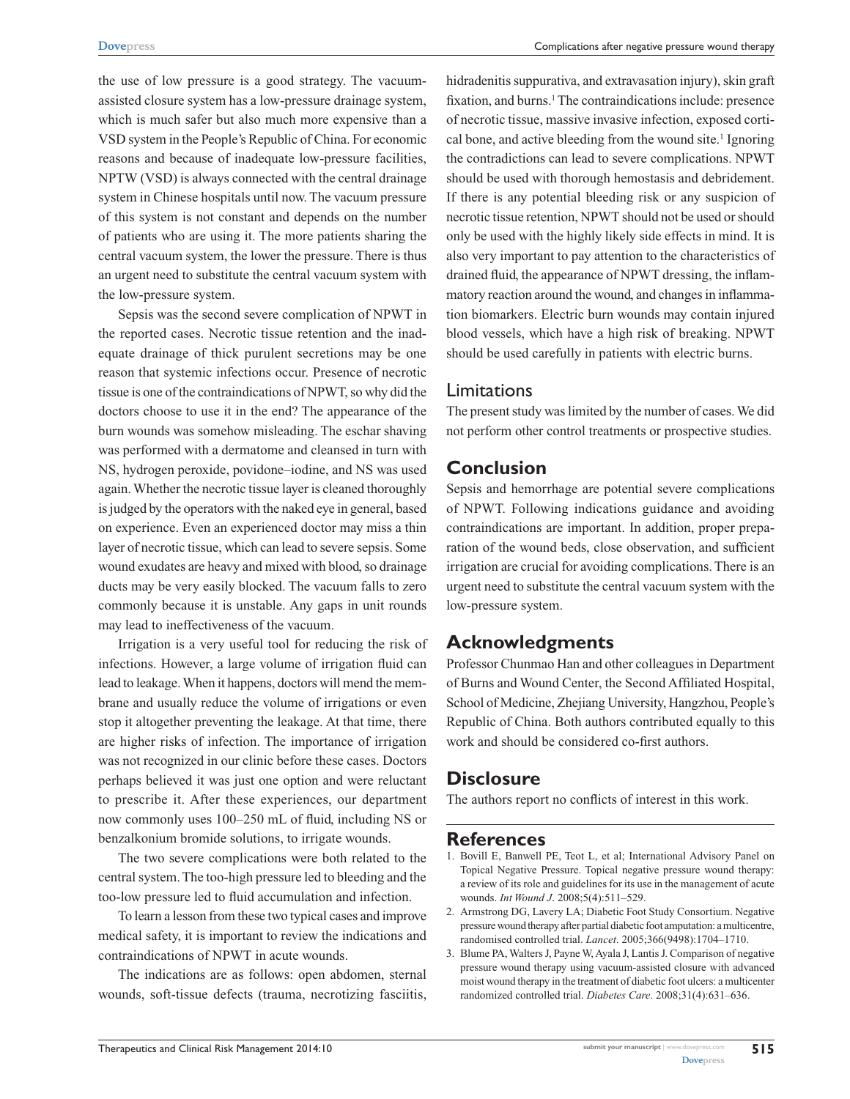the use of low pressure is a good strategy. The vacuum-

assisted closure system has a low-pressure drainage system, which is much safer but also much more expensive than a VSD system in the People's Republic of China. For economic reasons and because of inadequate low-pressure facilities, NPTW (VSD) is always connected with the central drainage system in Chinese hospitals until now. The vacuum pressure of this system is not constant and depends on the number of patients who are using it. The more patients sharing the central vacuum system, the lower the pressure. There is thus an urgent need to substitute the central vacuum system with the low-pressure system.

Sepsis was the second severe complication of NPWT in the reported cases. Necrotic tissue retention and the inadequate drainage of thick purulent secretions may be one reason that systemic infections occur. Presence of necrotic tissue is one of the contraindications of NPWT, so why did the doctors choose to use it in the end? The appearance of the burn wounds was somehow misleading. The eschar shaving was performed with a dermatome and cleansed in turn with NS, hydrogen peroxide, povidone–iodine, and NS was used again. Whether the necrotic tissue layer is cleaned thoroughly is judged by the operators with the naked eye in general, based on experience. Even an experienced doctor may miss a thin layer of necrotic tissue, which can lead to severe sepsis. Some wound exudates are heavy and mixed with blood, so drainage ducts may be very easily blocked. The vacuum falls to zero commonly because it is unstable. Any gaps in unit rounds may lead to ineffectiveness of the vacuum.

Irrigation is a very useful tool for reducing the risk of infections. However, a large volume of irrigation fluid can lead to leakage. When it happens, doctors will mend the membrane and usually reduce the volume of irrigations or even stop it altogether preventing the leakage. At that time, there are higher risks of infection. The importance of irrigation was not recognized in our clinic before these cases. Doctors perhaps believed it was just one option and were reluctant to prescribe it. After these experiences, our department now commonly uses 100–250 mL of fluid, including NS or benzalkonium bromide solutions, to irrigate wounds.

The two severe complications were both related to the central system. The too-high pressure led to bleeding and the too-low pressure led to fluid accumulation and infection.

To learn a lesson from these two typical cases and improve medical safety, it is important to review the indications and contraindications of NPWT in acute wounds.

The indications are as follows: open abdomen, sternal wounds, soft-tissue defects (trauma, necrotizing fasciitis, hidradenitis suppurativa, and extravasation injury), skin graft fixation, and burns.<sup>1</sup> The contraindications include: presence of necrotic tissue, massive invasive infection, exposed cortical bone, and active bleeding from the wound site.<sup>1</sup> Ignoring the contradictions can lead to severe complications. NPWT should be used with thorough hemostasis and debridement. If there is any potential bleeding risk or any suspicion of necrotic tissue retention, NPWT should not be used or should only be used with the highly likely side effects in mind. It is also very important to pay attention to the characteristics of drained fluid, the appearance of NPWT dressing, the inflammatory reaction around the wound, and changes in inflammation biomarkers. Electric burn wounds may contain injured blood vessels, which have a high risk of breaking. NPWT should be used carefully in patients with electric burns.

### Limitations

The present study was limited by the number of cases. We did not perform other control treatments or prospective studies.

# **Conclusion**

Sepsis and hemorrhage are potential severe complications of NPWT. Following indications guidance and avoiding contraindications are important. In addition, proper preparation of the wound beds, close observation, and sufficient irrigation are crucial for avoiding complications. There is an urgent need to substitute the central vacuum system with the low-pressure system.

# **Acknowledgments**

Professor Chunmao Han and other colleagues in Department of Burns and Wound Center, the Second Affiliated Hospital, School of Medicine, Zhejiang University, Hangzhou, People's Republic of China. Both authors contributed equally to this work and should be considered co-first authors.

# **Disclosure**

The authors report no conflicts of interest in this work.

## **References**

- 1. Bovill E, Banwell PE, Teot L, et al; International Advisory Panel on Topical Negative Pressure. Topical negative pressure wound therapy: a review of its role and guidelines for its use in the management of acute wounds. *Int Wound J*. 2008;5(4):511–529.
- 2. Armstrong DG, Lavery LA; Diabetic Foot Study Consortium. Negative pressure wound therapy after partial diabetic foot amputation: a multicentre, randomised controlled trial. *Lancet*. 2005;366(9498):1704–1710.
- 3. Blume PA, Walters J, Payne W, Ayala J, Lantis J. Comparison of negative pressure wound therapy using vacuum-assisted closure with advanced moist wound therapy in the treatment of diabetic foot ulcers: a multicenter randomized controlled trial. *Diabetes Care*. 2008;31(4):631–636.